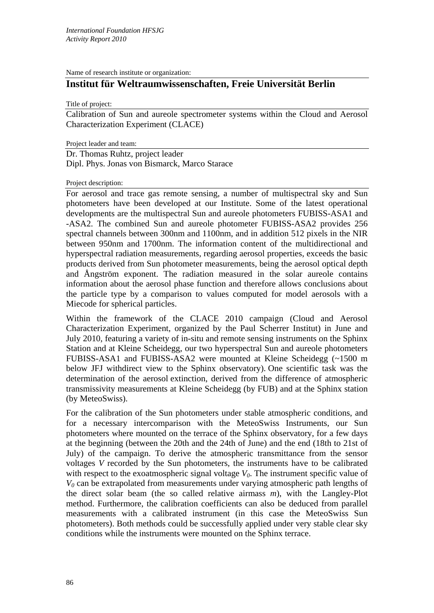Name of research institute or organization:

# **Institut für Weltraumwissenschaften, Freie Universität Berlin**

Title of project:

Calibration of Sun and aureole spectrometer systems within the Cloud and Aerosol Characterization Experiment (CLACE)

Project leader and team:

Dr. Thomas Ruhtz, project leader Dipl. Phys. Jonas von Bismarck, Marco Starace

# Project description:

For aerosol and trace gas remote sensing, a number of multispectral sky and Sun photometers have been developed at our Institute. Some of the latest operational developments are the multispectral Sun and aureole photometers FUBISS-ASA1 and -ASA2. The combined Sun and aureole photometer FUBISS-ASA2 provides 256 spectral channels between 300nm and 1100nm, and in addition 512 pixels in the NIR between 950nm and 1700nm. The information content of the multidirectional and hyperspectral radiation measurements, regarding aerosol properties, exceeds the basic products derived from Sun photometer measurements, being the aerosol optical depth and Ångström exponent. The radiation measured in the solar aureole contains information about the aerosol phase function and therefore allows conclusions about the particle type by a comparison to values computed for model aerosols with a Miecode for spherical particles.

Within the framework of the CLACE 2010 campaign (Cloud and Aerosol Characterization Experiment, organized by the Paul Scherrer Institut) in June and July 2010, featuring a variety of in-situ and remote sensing instruments on the Sphinx Station and at Kleine Scheidegg, our two hyperspectral Sun and aureole photometers FUBISS-ASA1 and FUBISS-ASA2 were mounted at Kleine Scheidegg (~1500 m below JFJ withdirect view to the Sphinx observatory). One scientific task was the determination of the aerosol extinction, derived from the difference of atmospheric transmissivity measurements at Kleine Scheidegg (by FUB) and at the Sphinx station (by MeteoSwiss).

For the calibration of the Sun photometers under stable atmospheric conditions, and for a necessary intercomparison with the MeteoSwiss Instruments, our Sun photometers where mounted on the terrace of the Sphinx observatory, for a few days at the beginning (between the 20th and the 24th of June) and the end (18th to 21st of July) of the campaign. To derive the atmospheric transmittance from the sensor voltages *V* recorded by the Sun photometers, the instruments have to be calibrated with respect to the exoatmospheric signal voltage  $V_0$ . The instrument specific value of *V0* can be extrapolated from measurements under varying atmospheric path lengths of the direct solar beam (the so called relative airmass *m*), with the Langley-Plot method. Furthermore, the calibration coefficients can also be deduced from parallel measurements with a calibrated instrument (in this case the MeteoSwiss Sun photometers). Both methods could be successfully applied under very stable clear sky conditions while the instruments were mounted on the Sphinx terrace.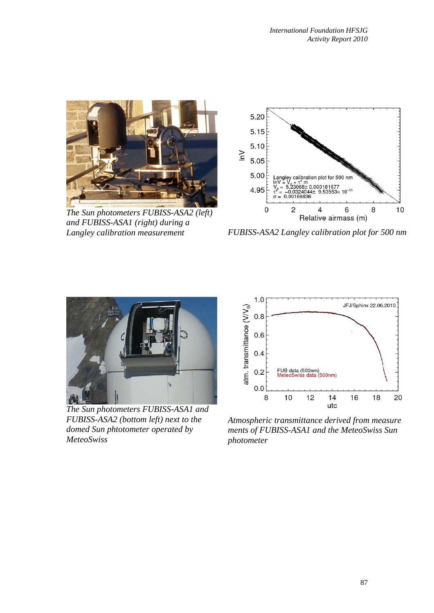

*The Sun photometers FUBISS-ASA2 (left) and FUBISS-ASA1 (right) during a Langley calibration measurement* 



*FUBISS-ASA2 Langley calibration plot for 500 nm* 



*The Sun photometers FUBISS-ASA1 and FUBISS-ASA2 (bottom left) next to the domed Sun phtotometer operated by MeteoSwiss* 



*Atmospheric transmittance derived from measure ments of FUBISS-ASA1 and the MeteoSwiss Sun photometer*